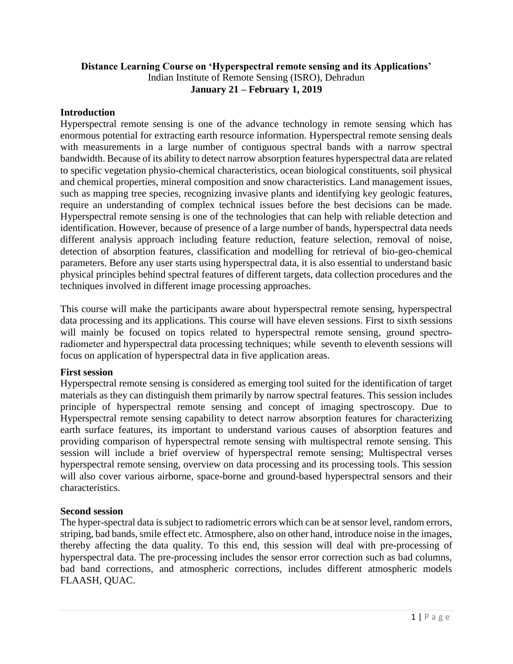## **Distance Learning Course on 'Hyperspectral remote sensing and its Applications'**  Indian Institute of Remote Sensing (ISRO), Dehradun **January 21 – February 1, 2019**

## **Introduction**

Hyperspectral remote sensing is one of the advance technology in remote sensing which has enormous potential for extracting earth resource information. Hyperspectral remote sensing deals with measurements in a large number of contiguous spectral bands with a narrow spectral bandwidth. Because of its ability to detect narrow absorption features hyperspectral data are related to specific vegetation physio-chemical characteristics, ocean biological constituents, soil physical and chemical properties, mineral composition and snow characteristics. Land management issues, such as mapping tree species, recognizing invasive plants and identifying key geologic features, require an understanding of complex technical issues before the best decisions can be made. Hyperspectral remote sensing is one of the technologies that can help with reliable detection and identification. However, because of presence of a large number of bands, hyperspectral data needs different analysis approach including feature reduction, feature selection, removal of noise, detection of absorption features, classification and modelling for retrieval of bio-geo-chemical parameters. Before any user starts using hyperspectral data, it is also essential to understand basic physical principles behind spectral features of different targets, data collection procedures and the techniques involved in different image processing approaches.

This course will make the participants aware about hyperspectral remote sensing, hyperspectral data processing and its applications. This course will have eleven sessions. First to sixth sessions will mainly be focused on topics related to hyperspectral remote sensing, ground spectroradiometer and hyperspectral data processing techniques; while seventh to eleventh sessions will focus on application of hyperspectral data in five application areas.

## **First session**

Hyperspectral remote sensing is considered as emerging tool suited for the identification of target materials as they can distinguish them primarily by narrow spectral features. This session includes principle of hyperspectral remote sensing and concept of imaging spectroscopy. Due to Hyperspectral remote sensing capability to detect narrow absorption features for characterizing earth surface features, its important to understand various causes of absorption features and providing comparison of hyperspectral remote sensing with multispectral remote sensing. This session will include a brief overview of hyperspectral remote sensing; Multispectral verses hyperspectral remote sensing, overview on data processing and its processing tools. This session will also cover various airborne, space-borne and ground-based hyperspectral sensors and their characteristics.

## **Second session**

The hyper-spectral data is subject to radiometric errors which can be at sensor level, random errors, striping, bad bands, smile effect etc. Atmosphere, also on other hand, introduce noise in the images, thereby affecting the data quality. To this end, this session will deal with pre-processing of hyperspectral data. The pre-processing includes the sensor error correction such as bad columns, bad band corrections, and atmospheric corrections, includes different atmospheric models FLAASH, QUAC.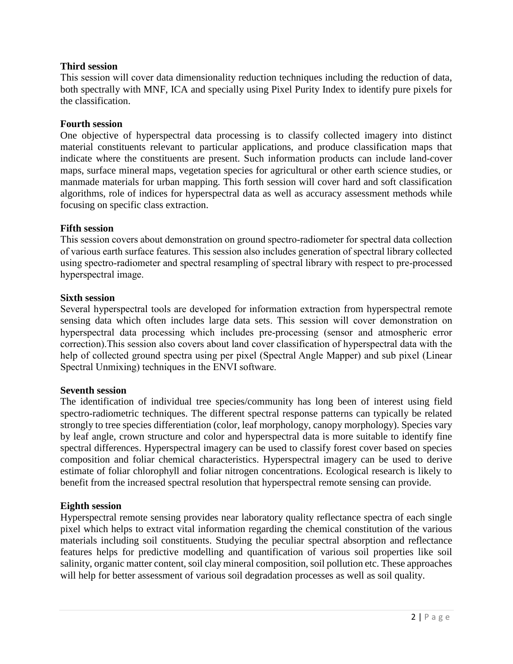## **Third session**

This session will cover data dimensionality reduction techniques including the reduction of data, both spectrally with MNF, ICA and specially using Pixel Purity Index to identify pure pixels for the classification.

## **Fourth session**

One objective of hyperspectral data processing is to classify collected imagery into distinct material constituents relevant to particular applications, and produce classification maps that indicate where the constituents are present. Such information products can include land-cover maps, surface mineral maps, vegetation species for agricultural or other earth science studies, or manmade materials for urban mapping. This forth session will cover hard and soft classification algorithms, role of indices for hyperspectral data as well as accuracy assessment methods while focusing on specific class extraction.

## **Fifth session**

This session covers about demonstration on ground spectro-radiometer for spectral data collection of various earth surface features. This session also includes generation of spectral library collected using spectro-radiometer and spectral resampling of spectral library with respect to pre-processed hyperspectral image.

## **Sixth session**

Several hyperspectral tools are developed for information extraction from hyperspectral remote sensing data which often includes large data sets. This session will cover demonstration on hyperspectral data processing which includes pre-processing (sensor and atmospheric error correction).This session also covers about land cover classification of hyperspectral data with the help of collected ground spectra using per pixel (Spectral Angle Mapper) and sub pixel (Linear Spectral Unmixing) techniques in the ENVI software.

## **Seventh session**

The identification of individual tree species/community has long been of interest using field spectro-radiometric techniques. The different spectral response patterns can typically be related strongly to tree species differentiation (color, leaf morphology, canopy morphology). Species vary by leaf angle, crown structure and color and hyperspectral data is more suitable to identify fine spectral differences. Hyperspectral imagery can be used to classify forest cover based on species composition and foliar chemical characteristics. Hyperspectral imagery can be used to derive estimate of foliar chlorophyll and foliar nitrogen concentrations. Ecological research is likely to benefit from the increased spectral resolution that hyperspectral remote sensing can provide.

## **Eighth session**

Hyperspectral remote sensing provides near laboratory quality reflectance spectra of each single pixel which helps to extract vital information regarding the chemical constitution of the various materials including soil constituents. Studying the peculiar spectral absorption and reflectance features helps for predictive modelling and quantification of various soil properties like soil salinity, organic matter content, soil clay mineral composition, soil pollution etc. These approaches will help for better assessment of various soil degradation processes as well as soil quality.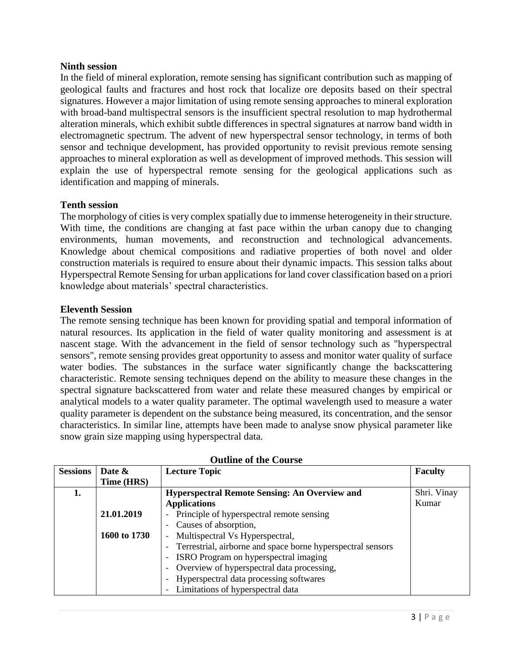#### **Ninth session**

In the field of mineral exploration, remote sensing has significant contribution such as mapping of geological faults and fractures and host rock that localize ore deposits based on their spectral signatures. However a major limitation of using remote sensing approaches to mineral exploration with broad-band multispectral sensors is the insufficient spectral resolution to map hydrothermal alteration minerals, which exhibit subtle differences in spectral signatures at narrow band width in electromagnetic spectrum. The advent of new hyperspectral sensor technology, in terms of both sensor and technique development, has provided opportunity to revisit previous remote sensing approaches to mineral exploration as well as development of improved methods. This session will explain the use of hyperspectral remote sensing for the geological applications such as identification and mapping of minerals.

## **Tenth session**

The morphology of cities is very complex spatially due to immense heterogeneity in their structure. With time, the conditions are changing at fast pace within the urban canopy due to changing environments, human movements, and reconstruction and technological advancements. Knowledge about chemical compositions and radiative properties of both novel and older construction materials is required to ensure about their dynamic impacts. This session talks about Hyperspectral Remote Sensing for urban applications for land cover classification based on a priori knowledge about materials' spectral characteristics.

#### **Eleventh Session**

The remote sensing technique has been known for providing spatial and temporal information of natural resources. Its application in the field of water quality monitoring and assessment is at nascent stage. With the advancement in the field of sensor technology such as "hyperspectral sensors", remote sensing provides great opportunity to assess and monitor water quality of surface water bodies. The substances in the surface water significantly change the backscattering characteristic. Remote sensing techniques depend on the ability to measure these changes in the spectral signature backscattered from water and relate these measured changes by empirical or analytical models to a water quality parameter. The optimal wavelength used to measure a water quality parameter is dependent on the substance being measured, its concentration, and the sensor characteristics. In similar line, attempts have been made to analyse snow physical parameter like snow grain size mapping using hyperspectral data.

| <b>Sessions</b> | Date &       | <b>Lecture Topic</b>                                                   | <b>Faculty</b> |
|-----------------|--------------|------------------------------------------------------------------------|----------------|
|                 | Time (HRS)   |                                                                        |                |
| 1.              |              | <b>Hyperspectral Remote Sensing: An Overview and</b>                   | Shri. Vinay    |
|                 |              | <b>Applications</b>                                                    | Kumar          |
|                 | 21.01.2019   | Principle of hyperspectral remote sensing<br>$\overline{\phantom{0}}$  |                |
|                 |              | - Causes of absorption,                                                |                |
|                 | 1600 to 1730 | Multispectral Vs Hyperspectral,<br>$\overline{\phantom{a}}$            |                |
|                 |              | - Terrestrial, airborne and space borne hyperspectral sensors          |                |
|                 |              | ISRO Program on hyperspectral imaging<br>$\overline{\phantom{a}}$      |                |
|                 |              | Overview of hyperspectral data processing,<br>$\overline{\phantom{a}}$ |                |
|                 |              | Hyperspectral data processing softwares                                |                |
|                 |              | - Limitations of hyperspectral data                                    |                |

**Outline of the Course**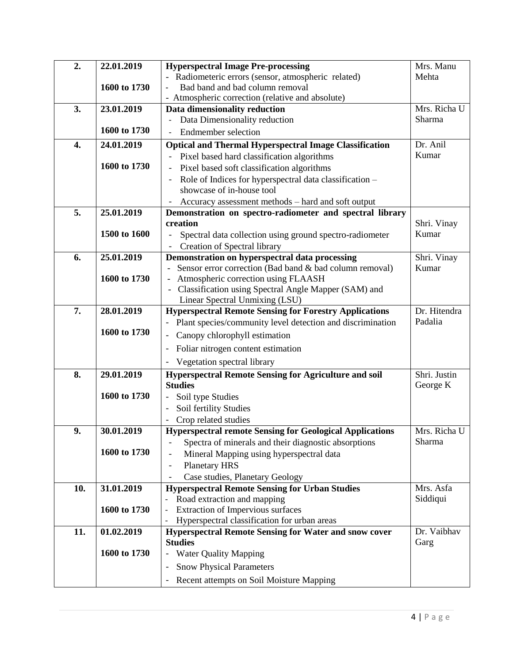| - Radiometeric errors (sensor, atmospheric related)<br>Mehta<br>Bad band and bad column removal<br>1600 to 1730<br>- Atmospheric correction (relative and absolute)<br>Mrs. Richa U<br>3.<br>23.01.2019<br>Data dimensionality reduction<br>Data Dimensionality reduction<br>Sharma<br>1600 to 1730<br><b>Endmember</b> selection<br>24.01.2019<br><b>Optical and Thermal Hyperspectral Image Classification</b><br>Dr. Anil<br>4.<br>Kumar<br>Pixel based hard classification algorithms<br>1600 to 1730<br>Pixel based soft classification algorithms<br>Role of Indices for hyperspectral data classification -<br>showcase of in-house tool<br>Accuracy assessment methods – hard and soft output<br>5.<br>25.01.2019<br>Demonstration on spectro-radiometer and spectral library<br>creation<br>Shri. Vinay<br>1500 to 1600<br>Kumar<br>Spectral data collection using ground spectro-radiometer<br>Creation of Spectral library<br>Demonstration on hyperspectral data processing<br>6.<br>25.01.2019<br>Shri. Vinay<br>Sensor error correction (Bad band & bad column removal)<br>Kumar<br>Atmospheric correction using FLAASH<br>1600 to 1730 |
|-------------------------------------------------------------------------------------------------------------------------------------------------------------------------------------------------------------------------------------------------------------------------------------------------------------------------------------------------------------------------------------------------------------------------------------------------------------------------------------------------------------------------------------------------------------------------------------------------------------------------------------------------------------------------------------------------------------------------------------------------------------------------------------------------------------------------------------------------------------------------------------------------------------------------------------------------------------------------------------------------------------------------------------------------------------------------------------------------------------------------------------------------------|
|                                                                                                                                                                                                                                                                                                                                                                                                                                                                                                                                                                                                                                                                                                                                                                                                                                                                                                                                                                                                                                                                                                                                                       |
|                                                                                                                                                                                                                                                                                                                                                                                                                                                                                                                                                                                                                                                                                                                                                                                                                                                                                                                                                                                                                                                                                                                                                       |
|                                                                                                                                                                                                                                                                                                                                                                                                                                                                                                                                                                                                                                                                                                                                                                                                                                                                                                                                                                                                                                                                                                                                                       |
|                                                                                                                                                                                                                                                                                                                                                                                                                                                                                                                                                                                                                                                                                                                                                                                                                                                                                                                                                                                                                                                                                                                                                       |
|                                                                                                                                                                                                                                                                                                                                                                                                                                                                                                                                                                                                                                                                                                                                                                                                                                                                                                                                                                                                                                                                                                                                                       |
|                                                                                                                                                                                                                                                                                                                                                                                                                                                                                                                                                                                                                                                                                                                                                                                                                                                                                                                                                                                                                                                                                                                                                       |
|                                                                                                                                                                                                                                                                                                                                                                                                                                                                                                                                                                                                                                                                                                                                                                                                                                                                                                                                                                                                                                                                                                                                                       |
|                                                                                                                                                                                                                                                                                                                                                                                                                                                                                                                                                                                                                                                                                                                                                                                                                                                                                                                                                                                                                                                                                                                                                       |
|                                                                                                                                                                                                                                                                                                                                                                                                                                                                                                                                                                                                                                                                                                                                                                                                                                                                                                                                                                                                                                                                                                                                                       |
|                                                                                                                                                                                                                                                                                                                                                                                                                                                                                                                                                                                                                                                                                                                                                                                                                                                                                                                                                                                                                                                                                                                                                       |
|                                                                                                                                                                                                                                                                                                                                                                                                                                                                                                                                                                                                                                                                                                                                                                                                                                                                                                                                                                                                                                                                                                                                                       |
|                                                                                                                                                                                                                                                                                                                                                                                                                                                                                                                                                                                                                                                                                                                                                                                                                                                                                                                                                                                                                                                                                                                                                       |
|                                                                                                                                                                                                                                                                                                                                                                                                                                                                                                                                                                                                                                                                                                                                                                                                                                                                                                                                                                                                                                                                                                                                                       |
|                                                                                                                                                                                                                                                                                                                                                                                                                                                                                                                                                                                                                                                                                                                                                                                                                                                                                                                                                                                                                                                                                                                                                       |
|                                                                                                                                                                                                                                                                                                                                                                                                                                                                                                                                                                                                                                                                                                                                                                                                                                                                                                                                                                                                                                                                                                                                                       |
|                                                                                                                                                                                                                                                                                                                                                                                                                                                                                                                                                                                                                                                                                                                                                                                                                                                                                                                                                                                                                                                                                                                                                       |
|                                                                                                                                                                                                                                                                                                                                                                                                                                                                                                                                                                                                                                                                                                                                                                                                                                                                                                                                                                                                                                                                                                                                                       |
|                                                                                                                                                                                                                                                                                                                                                                                                                                                                                                                                                                                                                                                                                                                                                                                                                                                                                                                                                                                                                                                                                                                                                       |
| - Classification using Spectral Angle Mapper (SAM) and                                                                                                                                                                                                                                                                                                                                                                                                                                                                                                                                                                                                                                                                                                                                                                                                                                                                                                                                                                                                                                                                                                |
| Linear Spectral Unmixing (LSU)                                                                                                                                                                                                                                                                                                                                                                                                                                                                                                                                                                                                                                                                                                                                                                                                                                                                                                                                                                                                                                                                                                                        |
| 7.<br>Dr. Hitendra<br>28.01.2019<br><b>Hyperspectral Remote Sensing for Forestry Applications</b>                                                                                                                                                                                                                                                                                                                                                                                                                                                                                                                                                                                                                                                                                                                                                                                                                                                                                                                                                                                                                                                     |
| Padalia<br>Plant species/community level detection and discrimination                                                                                                                                                                                                                                                                                                                                                                                                                                                                                                                                                                                                                                                                                                                                                                                                                                                                                                                                                                                                                                                                                 |
| 1600 to 1730<br>Canopy chlorophyll estimation                                                                                                                                                                                                                                                                                                                                                                                                                                                                                                                                                                                                                                                                                                                                                                                                                                                                                                                                                                                                                                                                                                         |
|                                                                                                                                                                                                                                                                                                                                                                                                                                                                                                                                                                                                                                                                                                                                                                                                                                                                                                                                                                                                                                                                                                                                                       |
| Foliar nitrogen content estimation                                                                                                                                                                                                                                                                                                                                                                                                                                                                                                                                                                                                                                                                                                                                                                                                                                                                                                                                                                                                                                                                                                                    |
| Vegetation spectral library                                                                                                                                                                                                                                                                                                                                                                                                                                                                                                                                                                                                                                                                                                                                                                                                                                                                                                                                                                                                                                                                                                                           |
| 29.01.2019<br><b>Hyperspectral Remote Sensing for Agriculture and soil</b><br>Shri. Justin<br>8.                                                                                                                                                                                                                                                                                                                                                                                                                                                                                                                                                                                                                                                                                                                                                                                                                                                                                                                                                                                                                                                      |
| <b>Studies</b><br>George K                                                                                                                                                                                                                                                                                                                                                                                                                                                                                                                                                                                                                                                                                                                                                                                                                                                                                                                                                                                                                                                                                                                            |
| 1600 to 1730<br>Soil type Studies                                                                                                                                                                                                                                                                                                                                                                                                                                                                                                                                                                                                                                                                                                                                                                                                                                                                                                                                                                                                                                                                                                                     |
| Soil fertility Studies                                                                                                                                                                                                                                                                                                                                                                                                                                                                                                                                                                                                                                                                                                                                                                                                                                                                                                                                                                                                                                                                                                                                |
| Crop related studies                                                                                                                                                                                                                                                                                                                                                                                                                                                                                                                                                                                                                                                                                                                                                                                                                                                                                                                                                                                                                                                                                                                                  |
| Mrs. Richa U<br>30.01.2019<br>9.<br><b>Hyperspectral remote Sensing for Geological Applications</b><br>Sharma                                                                                                                                                                                                                                                                                                                                                                                                                                                                                                                                                                                                                                                                                                                                                                                                                                                                                                                                                                                                                                         |
| Spectra of minerals and their diagnostic absorptions<br>1600 to 1730                                                                                                                                                                                                                                                                                                                                                                                                                                                                                                                                                                                                                                                                                                                                                                                                                                                                                                                                                                                                                                                                                  |
| Mineral Mapping using hyperspectral data                                                                                                                                                                                                                                                                                                                                                                                                                                                                                                                                                                                                                                                                                                                                                                                                                                                                                                                                                                                                                                                                                                              |
| <b>Planetary HRS</b>                                                                                                                                                                                                                                                                                                                                                                                                                                                                                                                                                                                                                                                                                                                                                                                                                                                                                                                                                                                                                                                                                                                                  |
| Case studies, Planetary Geology<br>31.01.2019<br><b>Hyperspectral Remote Sensing for Urban Studies</b><br>10.<br>Mrs. Asfa                                                                                                                                                                                                                                                                                                                                                                                                                                                                                                                                                                                                                                                                                                                                                                                                                                                                                                                                                                                                                            |
| Siddiqui<br>Road extraction and mapping                                                                                                                                                                                                                                                                                                                                                                                                                                                                                                                                                                                                                                                                                                                                                                                                                                                                                                                                                                                                                                                                                                               |
| 1600 to 1730<br>Extraction of Impervious surfaces                                                                                                                                                                                                                                                                                                                                                                                                                                                                                                                                                                                                                                                                                                                                                                                                                                                                                                                                                                                                                                                                                                     |
| Hyperspectral classification for urban areas                                                                                                                                                                                                                                                                                                                                                                                                                                                                                                                                                                                                                                                                                                                                                                                                                                                                                                                                                                                                                                                                                                          |
| 01.02.2019<br>11.<br>Dr. Vaibhav<br><b>Hyperspectral Remote Sensing for Water and snow cover</b>                                                                                                                                                                                                                                                                                                                                                                                                                                                                                                                                                                                                                                                                                                                                                                                                                                                                                                                                                                                                                                                      |
| <b>Studies</b><br>Garg                                                                                                                                                                                                                                                                                                                                                                                                                                                                                                                                                                                                                                                                                                                                                                                                                                                                                                                                                                                                                                                                                                                                |
| 1600 to 1730<br><b>Water Quality Mapping</b>                                                                                                                                                                                                                                                                                                                                                                                                                                                                                                                                                                                                                                                                                                                                                                                                                                                                                                                                                                                                                                                                                                          |
| <b>Snow Physical Parameters</b>                                                                                                                                                                                                                                                                                                                                                                                                                                                                                                                                                                                                                                                                                                                                                                                                                                                                                                                                                                                                                                                                                                                       |
| Recent attempts on Soil Moisture Mapping                                                                                                                                                                                                                                                                                                                                                                                                                                                                                                                                                                                                                                                                                                                                                                                                                                                                                                                                                                                                                                                                                                              |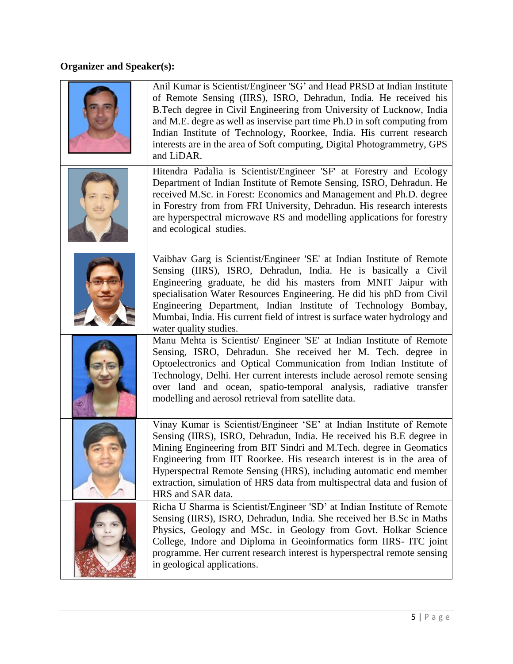# **Organizer and Speaker(s):**

| Anil Kumar is Scientist/Engineer 'SG' and Head PRSD at Indian Institute<br>of Remote Sensing (IIRS), ISRO, Dehradun, India. He received his<br>B.Tech degree in Civil Engineering from University of Lucknow, India<br>and M.E. degre as well as inservise part time Ph.D in soft computing from<br>Indian Institute of Technology, Roorkee, India. His current research<br>interests are in the area of Soft computing, Digital Photogrammetry, GPS<br>and LiDAR. |
|--------------------------------------------------------------------------------------------------------------------------------------------------------------------------------------------------------------------------------------------------------------------------------------------------------------------------------------------------------------------------------------------------------------------------------------------------------------------|
| Hitendra Padalia is Scientist/Engineer 'SF' at Forestry and Ecology<br>Department of Indian Institute of Remote Sensing, ISRO, Dehradun. He<br>received M.Sc. in Forest: Economics and Management and Ph.D. degree<br>in Forestry from from FRI University, Dehradun. His research interests<br>are hyperspectral microwave RS and modelling applications for forestry<br>and ecological studies.                                                                  |
| Vaibhav Garg is Scientist/Engineer 'SE' at Indian Institute of Remote<br>Sensing (IIRS), ISRO, Dehradun, India. He is basically a Civil<br>Engineering graduate, he did his masters from MNIT Jaipur with<br>specialisation Water Resources Engineering. He did his phD from Civil<br>Engineering Department, Indian Institute of Technology Bombay,<br>Mumbai, India. His current field of intrest is surface water hydrology and<br>water quality studies.       |
| Manu Mehta is Scientist/ Engineer 'SE' at Indian Institute of Remote<br>Sensing, ISRO, Dehradun. She received her M. Tech. degree in<br>Optoelectronics and Optical Communication from Indian Institute of<br>Technology, Delhi. Her current interests include aerosol remote sensing<br>over land and ocean, spatio-temporal analysis, radiative transfer<br>modelling and aerosol retrieval from satellite data.                                                 |
| Vinay Kumar is Scientist/Engineer 'SE' at Indian Institute of Remote<br>Sensing (IIRS), ISRO, Dehradun, India. He received his B.E degree in<br>Mining Engineering from BIT Sindri and M.Tech. degree in Geomatics<br>Engineering from IIT Roorkee. His research interest is in the area of<br>Hyperspectral Remote Sensing (HRS), including automatic end member<br>extraction, simulation of HRS data from multispectral data and fusion of<br>HRS and SAR data. |
| Richa U Sharma is Scientist/Engineer 'SD' at Indian Institute of Remote<br>Sensing (IIRS), ISRO, Dehradun, India. She received her B.Sc in Maths<br>Physics, Geology and MSc. in Geology from Govt. Holkar Science<br>College, Indore and Diploma in Geoinformatics form IIRS- ITC joint<br>programme. Her current research interest is hyperspectral remote sensing<br>in geological applications.                                                                |